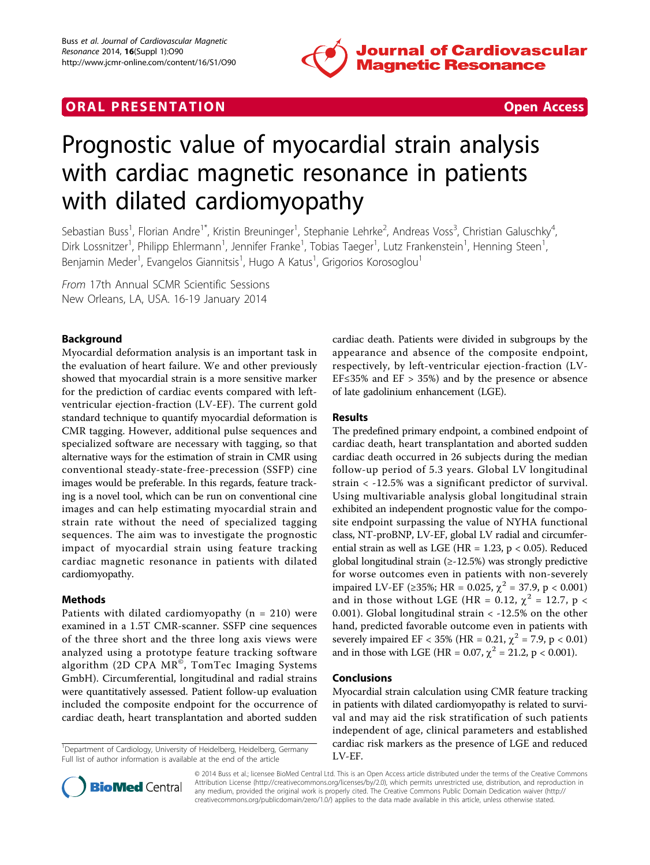





# Prognostic value of myocardial strain analysis with cardiac magnetic resonance in patients with dilated cardiomyopathy

Sebastian Buss<sup>1</sup>, Florian Andre<sup>1\*</sup>, Kristin Breuninger<sup>1</sup>, Stephanie Lehrke<sup>2</sup>, Andreas Voss<sup>3</sup>, Christian Galuschky<sup>4</sup> , Dirk Lossnitzer<sup>1</sup>, Philipp Ehlermann<sup>1</sup>, Jennifer Franke<sup>1</sup>, Tobias Taeger<sup>1</sup>, Lutz Frankenstein<sup>1</sup>, Henning Steen<sup>1</sup> , Benjamin Meder<sup>1</sup>, Evangelos Giannitsis<sup>1</sup>, Hugo A Katus<sup>1</sup>, Grigorios Korosoglou<sup>1</sup>

From 17th Annual SCMR Scientific Sessions New Orleans, LA, USA. 16-19 January 2014

# Background

Myocardial deformation analysis is an important task in the evaluation of heart failure. We and other previously showed that myocardial strain is a more sensitive marker for the prediction of cardiac events compared with leftventricular ejection-fraction (LV-EF). The current gold standard technique to quantify myocardial deformation is CMR tagging. However, additional pulse sequences and specialized software are necessary with tagging, so that alternative ways for the estimation of strain in CMR using conventional steady-state-free-precession (SSFP) cine images would be preferable. In this regards, feature tracking is a novel tool, which can be run on conventional cine images and can help estimating myocardial strain and strain rate without the need of specialized tagging sequences. The aim was to investigate the prognostic impact of myocardial strain using feature tracking cardiac magnetic resonance in patients with dilated cardiomyopathy.

# Methods

Patients with dilated cardiomyopathy ( $n = 210$ ) were examined in a 1.5T CMR-scanner. SSFP cine sequences of the three short and the three long axis views were analyzed using a prototype feature tracking software algorithm  $(2D$  CPA MR<sup>®</sup>, TomTec Imaging Systems GmbH). Circumferential, longitudinal and radial strains were quantitatively assessed. Patient follow-up evaluation included the composite endpoint for the occurrence of cardiac death, heart transplantation and aborted sudden

<sup>1</sup>Department of Cardiology, University of Heidelberg, Heidelberg, Germany Full list of author information is available at the end of the article



## Results

The predefined primary endpoint, a combined endpoint of cardiac death, heart transplantation and aborted sudden cardiac death occurred in 26 subjects during the median follow-up period of 5.3 years. Global LV longitudinal strain < -12.5% was a significant predictor of survival. Using multivariable analysis global longitudinal strain exhibited an independent prognostic value for the composite endpoint surpassing the value of NYHA functional class, NT-proBNP, LV-EF, global LV radial and circumferential strain as well as LGE (HR =  $1.23$ , p < 0.05). Reduced global longitudinal strain (≥-12.5%) was strongly predictive for worse outcomes even in patients with non-severely impaired LV-EF (≥35%; HR = 0.025,  $\chi^2$  = 37.9, p < 0.001) and in those without LGE (HR = 0.12,  $\chi^2$  = 12.7, p < 0.001). Global longitudinal strain < -12.5% on the other hand, predicted favorable outcome even in patients with severely impaired EF < 35% (HR = 0.21,  $\chi^2$  = 7.9, p < 0.01) and in those with LGE (HR = 0.07,  $\chi^2$  = 21.2, p < 0.001).

## Conclusions

Myocardial strain calculation using CMR feature tracking in patients with dilated cardiomyopathy is related to survival and may aid the risk stratification of such patients independent of age, clinical parameters and established cardiac risk markers as the presence of LGE and reduced LV-EF.



© 2014 Buss et al.; licensee BioMed Central Ltd. This is an Open Access article distributed under the terms of the Creative Commons Attribution License [\(http://creativecommons.org/licenses/by/2.0](http://creativecommons.org/licenses/by/2.0)), which permits unrestricted use, distribution, and reproduction in any medium, provided the original work is properly cited. The Creative Commons Public Domain Dedication waiver [\(http://](http://creativecommons.org/publicdomain/zero/1.0/) [creativecommons.org/publicdomain/zero/1.0/](http://creativecommons.org/publicdomain/zero/1.0/)) applies to the data made available in this article, unless otherwise stated.